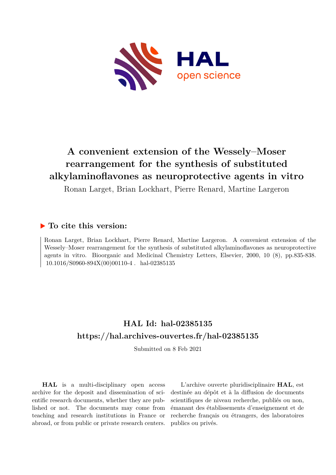

# **A convenient extension of the Wessely–Moser rearrangement for the synthesis of substituted alkylaminoflavones as neuroprotective agents in vitro**

Ronan Larget, Brian Lockhart, Pierre Renard, Martine Largeron

### **To cite this version:**

Ronan Larget, Brian Lockhart, Pierre Renard, Martine Largeron. A convenient extension of the Wessely–Moser rearrangement for the synthesis of substituted alkylaminoflavones as neuroprotective agents in vitro. Bioorganic and Medicinal Chemistry Letters, Elsevier, 2000, 10 (8), pp.835-838.  $10.1016/S0960-S94X(00)00110-4$ . hal-02385135

## **HAL Id: hal-02385135 <https://hal.archives-ouvertes.fr/hal-02385135>**

Submitted on 8 Feb 2021

**HAL** is a multi-disciplinary open access archive for the deposit and dissemination of scientific research documents, whether they are published or not. The documents may come from teaching and research institutions in France or abroad, or from public or private research centers.

L'archive ouverte pluridisciplinaire **HAL**, est destinée au dépôt et à la diffusion de documents scientifiques de niveau recherche, publiés ou non, émanant des établissements d'enseignement et de recherche français ou étrangers, des laboratoires publics ou privés.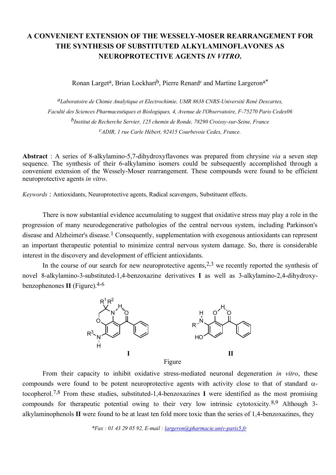## **A CONVENIENT EXTENSION OF THE WESSELY-MOSER REARRANGEMENT FOR THE SYNTHESIS OF SUBSTITUTED ALKYLAMINOFLAVONES AS NEUROPROTECTIVE AGENTS** *IN VITRO***.**

Ronan Larget<sup>a</sup>, Brian Lockhart<sup>b</sup>, Pierre Renard<sup>c</sup> and Martine Largeron<sup>a\*</sup>

*aLaboratoire de Chimie Analytique et Electrochimie, UMR 8638 CNRS-Université René Descartes, Faculté des Sciences Pharmaceutiques et Biologiques, 4, Avenue de l'Observatoire, F-75270 Paris Cedex06 bInstitut de Recherche Servier, 125 chemin de Ronde, 78290 Croissy-sur-Seine, France cADIR, 1 rue Carle Hébert, 92415 Courbevoie Cedex, France.*

**Abstract** : A series of 8-alkylamino-5,7-dihydroxyflavones was prepared from chrysine *via* a seven step sequence. The synthesis of their 6-alkylamino isomers could be subsequently accomplished through a convenient extension of the Wessely-Moser rearrangement. These compounds were found to be efficient neuroprotective agents *in vitro*.

*Keywords* : Antioxidants, Neuroprotective agents, Radical scavengers, Substituent effects.

There is now substantial evidence accumulating to suggest that oxidative stress may play a role in the progression of many neurodegenerative pathologies of the central nervous system, including Parkinson's disease and Alzheimer's disease.<sup>1</sup> Consequently, supplementation with exogenous antioxidants can represent an important therapeutic potential to minimize central nervous system damage. So, there is considerable interest in the discovery and development of efficient antioxidants.

In the course of our search for new neuroprotective agents,  $2,3$  we recently reported the synthesis of novel 8-alkylamino-3-substituted-1,4-benzoxazine derivatives **I** as well as 3-alkylamino-2,4-dihydroxybenzophenones **II** (Figure).4-6



From their capacity to inhibit oxidative stress-mediated neuronal degeneration *in vitro*, these compounds were found to be potent neuroprotective agents with activity close to that of standard  $\alpha$ tocopherol.7,8 From these studies, substituted-1,4-benzoxazines **I** were identified as the most promising compounds for therapeutic potential owing to their very low intrinsic cytotoxicity.8,9 Although 3 alkylaminophenols **II** were found to be at least ten fold more toxic than the series of 1,4-benzoxazines, they

 *\*Fax : 01 43 29 05 92, E-mail : largeron@pharmacie.univ-paris5.fr*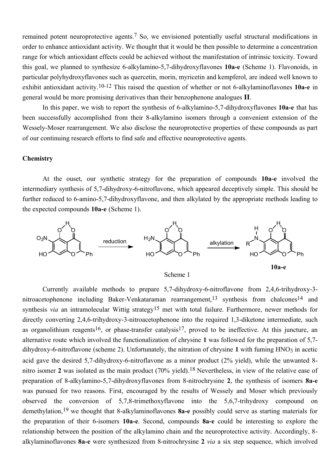remained potent neuroprotective agents.7 So, we envisioned potentially useful structural modifications in order to enhance antioxidant activity. We thought that it would be then possible to determine a concentration range for which antioxidant effects could be achieved without the manifestation of intrinsic toxicity. Toward this goal, we planned to synthesize 6-alkylamino-5,7-dihydroxyflavones **10a-e** (Scheme 1). Flavonoids, in particular polyhydroxyflavones such as quercetin, morin, myricetin and kempferol, are indeed well known to exhibit antioxidant activity.10-12 This raised the question of whether or not 6-alkylaminoflavones **10a-e** in general would be more promising derivatives than their benzophenone analogues **II**.

In this paper, we wish to report the synthesis of 6-alkylamino-5,7-dihydroxyflavones **10a-e** that has been successfully accomplished from their 8-alkylamino isomers through a convenient extension of the Wessely-Moser rearrangement. We also disclose the neuroprotective properties of these compounds as part of our continuing research efforts to find safe and effective neuroprotective agents.

#### **Chemistry**

At the ouset, our synthetic strategy for the preparation of compounds **10a-e** involved the intermediary synthesis of 5,7-dihydroxy-6-nitroflavone, which appeared deceptively simple. This should be further reduced to 6-amino-5,7-dihydroxyflavone, and then alkylated by the appropriate methods leading to the expected compounds **10a-e** (Scheme 1).



Scheme 1

Currently available methods to prepare 5,7-dihydroxy-6-nitroflavone from 2,4,6-trihydroxy-3 nitroacetophenone including Baker-Venkataraman rearrangement, <sup>13</sup> synthesis from chalcones<sup>14</sup> and synthesis *via* an intramolecular Wittig strategy<sup>15</sup> met with total failure. Furthermore, newer methods for directly converting 2,4,6-trihydroxy-3-nitroacetophenone into the required 1,3-diketone intermediate, such as organolithium reagents<sup>16</sup>, or phase-transfer catalysis<sup>17</sup>, proved to be ineffective. At this juncture, an alternative route which involved the functionalization of chrysine **1** was followed for the preparation of 5,7 dihydroxy-6-nitroflavone (scheme 2). Unfortunately, the nitration of chrysine 1 with fuming  $HNO<sub>3</sub>$  in acetic acid gave the desired 5,7-dihydroxy-6-nitroflavone as a minor product (2% yield), while the unwanted 8 nitro isomer **2** was isolated as the main product (70% yield).18 Nevertheless, in view of the relative ease of preparation of 8-alkylamino-5,7-dihydroxyflavones from 8-nitrochrysine **2**, the synthesis of isomers **8a-e** was pursued for two reasons. First, encouraged by the results of Wessely and Moser which previously observed the conversion of 5,7,8-trimethoxyflavone into the 5,6,7-trihydroxy compound on demethylation,19 we thought that 8-alkylaminoflavones **8a-e** possibly could serve as starting materials for the preparation of their 6-isomers **10a-e**. Second, compounds **8a-e** could be interesting to explore the relationship between the position of the alkylamino chain and the neuroprotective activity. Accordingly, 8 alkylaminoflavones **8a-e** were synthesized from 8-nitrochrysine **2** *via* a six step sequence, which involved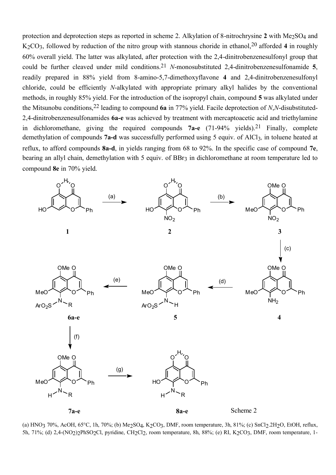protection and deprotection steps as reported in scheme 2. Alkylation of 8-nitrochrysine 2 with Me<sub>2</sub>SO<sub>4</sub> and K2CO3, followed by reduction of the nitro group with stannous choride in ethanol,20 afforded **4** in roughly 60% overall yield. The latter was alkylated, after protection with the 2,4-dinitrobenzenesulfonyl group that could be further cleaved under mild conditions.21 *N*-monosubstituted 2,4-dinitrobenzenesulfonamide **5**, readily prepared in 88% yield from 8-amino-5,7-dimethoxyflavone **4** and 2,4-dinitrobenzenesulfonyl chloride, could be efficiently *N*-alkylated with appropriate primary alkyl halides by the conventional methods, in roughly 85% yield. For the introduction of the isopropyl chain, compound **5** was alkylated under the Mitsunobu conditions,22 leading to compound **6a** in 77% yield. Facile deprotection of *N*,*N*-disubstituted-2,4-dinitrobenzenesulfonamides **6a-e** was achieved by treatment with mercaptoacetic acid and triethylamine in dichloromethane, giving the required compounds **7a-e** (71-94% yields).21 Finally, complete demethylation of compounds 7a-d was successfully performed using 5 equiv. of AlCl<sub>3</sub>, in toluene heated at reflux, to afford compounds **8a-d**, in yields ranging from 68 to 92%. In the specific case of compound **7e**, bearing an allyl chain, demethylation with 5 equiv. of BBr<sub>3</sub> in dichloromethane at room temperature led to compound **8e** in 70% yield.



(a) HNO3 70%, AcOH, 65°C, 1h, 70%; (b) Me2SO4, K2CO3, DMF, room temperature, 3h, 81%; (c) SnCl2.2H2O, EtOH, reflux, 5h, 71%; (d) 2,4-(NO2)2PhSO2Cl, pyridine, CH2Cl2, room temperature, 8h, 88%; (e) RI, K2CO3, DMF, room temperature, 1-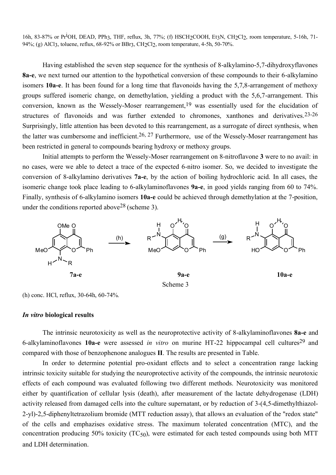16h, 83-87% or Pr<sup>1</sup>OH, DEAD, PPh3, THF, reflux, 3h, 77%; (f) HSCH<sub>2</sub>COOH, Et3N, CH<sub>2</sub>Cl<sub>2</sub>, room temperature, 5-16h, 71-94%; (g) AlCl3, toluene, reflux, 68-92% or BBr3, CH2Cl2, room temperature, 4-5h, 50-70%.

Having established the seven step sequence for the synthesis of 8-alkylamino-5,7-dihydroxyflavones **8a-e**, we next turned our attention to the hypothetical conversion of these compounds to their 6-alkylamino isomers **10a-e**. It has been found for a long time that flavonoids having the 5,7,8-arrangement of methoxy groups suffered isomeric change, on demethylation, yielding a product with the 5,6,7-arrangement. This conversion, known as the Wessely-Moser rearrangement,  $19$  was essentially used for the elucidation of structures of flavonoids and was further extended to chromones, xanthones and derivatives.<sup>23-26</sup> Surprisingly, little attention has been devoted to this rearrangement, as a surrogate of direct synthesis, when the latter was cumbersome and inefficient.<sup>26, 27</sup> Furthermore, use of the Wessely-Moser rearrangement has been restricted in general to compounds bearing hydroxy or methoxy groups.

Initial attempts to perform the Wessely-Moser rearrangement on 8-nitroflavone **3** were to no avail: in no cases, were we able to detect a trace of the expected 6-nitro isomer. So, we decided to investigate the conversion of 8-alkylamino derivatives **7a-e**, by the action of boiling hydrochloric acid. In all cases, the isomeric change took place leading to 6-alkylaminoflavones **9a-e**, in good yields ranging from 60 to 74%. Finally, synthesis of 6-alkylamino isomers **10a-e** could be achieved through demethylation at the 7-position, under the conditions reported above  $28$  (scheme 3).



(h) conc. HCl, reflux, 30-64h, 60-74%.

#### *In vitro* **biological results**

The intrinsic neurotoxicity as well as the neuroprotective activity of 8-alkylaminoflavones **8a-e** and 6-alkylaminoflavones **10a-e** were assessed *in vitro* on murine HT-22 hippocampal cell cultures29 and compared with those of benzophenone analogues **II**. The results are presented in Table.

In order to determine potential pro-oxidant effects and to select a concentration range lacking intrinsic toxicity suitable for studying the neuroprotective activity of the compounds, the intrinsic neurotoxic effects of each compound was evaluated following two different methods. Neurotoxicity was monitored either by quantification of cellular lysis (death), after measurement of the lactate dehydrogenase (LDH) activity released from damaged cells into the culture supernatant, or by reduction of 3-(4,5-dimethylthiazol-2-yl)-2,5-diphenyltetrazolium bromide (MTT reduction assay), that allows an evaluation of the "redox state" of the cells and emphazises oxidative stress. The maximum tolerated concentration (MTC), and the concentration producing 50% toxicity ( $TC_{50}$ ), were estimated for each tested compounds using both MTT and LDH determination.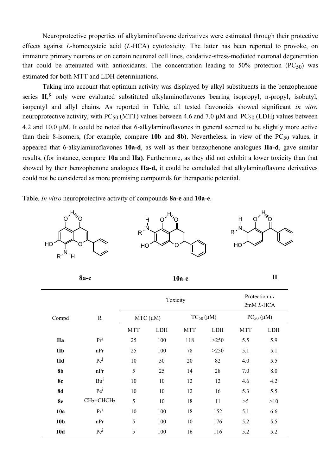Neuroprotective properties of alkylaminoflavone derivatives were estimated through their protective effects against *L*-homocysteic acid (*L*-HCA) cytotoxicity. The latter has been reported to provoke, on immature primary neurons or on certain neuronal cell lines, oxidative-stress-mediated neuronal degeneration that could be attenuated with antioxidants. The concentration leading to 50% protection (PC $_{50}$ ) was estimated for both MTT and LDH determinations.

Taking into account that optimum activity was displayed by alkyl substituents in the benzophenone series **II**, 8 only were evaluated substituted alkylaminoflavones bearing isopropyl, n-propyl, isobutyl, isopentyl and allyl chains. As reported in Table, all tested flavonoids showed significant *in vitro* neuroprotective activity, with PC $_{50}$  (MTT) values between 4.6 and 7.0  $\mu$ M and PC $_{50}$  (LDH) values between 4.2 and 10.0 µM. It could be noted that 6-alkylaminoflavones in general seemed to be slightly more active than their 8-isomers, (for example, compare  $10b$  and  $8b$ ). Nevertheless, in view of the  $PC_{50}$  values, it appeared that 6-alkylaminoflavones **10a-d**, as well as their benzophenone analogues **IIa-d**, gave similar results, (for instance, compare **10a** and **IIa)**. Furthermore, as they did not exhibit a lower toxicity than that showed by their benzophenone analogues **IIa-d,** it could be concluded that alkylaminoflavone derivatives could not be considered as more promising compounds for therapeutic potential.

Table. *In vitro* neuroprotective activity of compounds **8a**-**e** and **10a**-**e**.



| 8a-e            |                 | $10a-e$       |     |                  |             | $\mathbf{I}$               |     |
|-----------------|-----------------|---------------|-----|------------------|-------------|----------------------------|-----|
|                 | $\mathbf R$     | Toxicity      |     |                  |             | Protection vs<br>2mM L-HCA |     |
| Compd           |                 | $MTC (\mu M)$ |     | $TC_{50}(\mu M)$ |             | $PC_{50}$ ( $\mu$ M)       |     |
|                 |                 | <b>MTT</b>    | LDH | <b>MTT</b>       | ${\rm LDH}$ | <b>MTT</b>                 | LDH |
| <b>IIa</b>      | Pr <sup>i</sup> | 25            | 100 | 118              | >250        | 5.5                        | 5.9 |
| IIb             | nPr             | 25            | 100 | $78\,$           | >250        | 5.1                        | 5.1 |
| <b>IId</b>      | Pe <sup>i</sup> | $10\,$        | 50  | $20\,$           | 82          | 4.0                        | 5.5 |
| <b>8b</b>       | nPr             | 5             | 25  | 14               | 28          | 7.0                        | 8.0 |
| <b>8c</b>       | $Bu^{i}$        | 10            | 10  | 12               | 12          | 4.6                        | 4.2 |
| <b>8d</b>       | Pe <sup>i</sup> | 10            | 10  | 12               | 16          | 5.3                        | 5.5 |
| 8e              | $CH2=CHCH2$     | 5             | 10  | 18               | 11          | >5                         | >10 |
| 10a             | Pr <sup>i</sup> | 10            | 100 | 18               | 152         | 5.1                        | 6.6 |
| 10 <sub>b</sub> | nPr             | 5             | 100 | 10               | 176         | 5.2                        | 5.5 |
| <b>10d</b>      | Pe <sup>i</sup> | 5             | 100 | 16               | 116         | 5.2                        | 5.2 |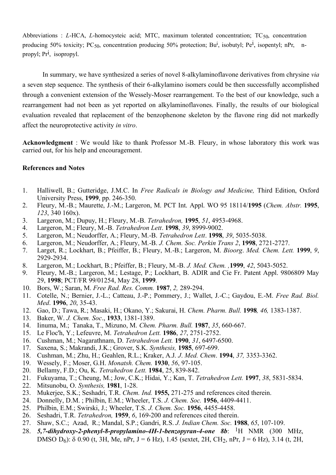Abbreviations : *L*-HCA, *L*-homocysteic acid; MTC, maximum tolerated concentration; TC<sub>50</sub>, concentration producing 50% toxicity; PC<sub>50</sub>, concentration producing 50% protection; Bu<sup>i</sup>, isobutyl; Pe<sup>i</sup>, isopentyl; nPr, npropyl; Pr<sup>i</sup>, isopropyl.

In summary, we have synthesized a series of novel 8-alkylaminoflavone derivatives from chrysine *via*  a seven step sequence. The synthesis of their 6-alkylamino isomers could be then successfully accomplished through a convenient extension of the Wessely-Moser rearrangement. To the best of our knowledge, such a rearrangement had not been as yet reported on alkylaminoflavones. Finally, the results of our biological evaluation revealed that replacement of the benzophenone skeleton by the flavone ring did not markedly affect the neuroprotective activity *in vitro*.

**Acknowledgment** : We would like to thank Professor M.-B. Fleury, in whose laboratory this work was carried out, for his help and encouragement.

#### **References and Notes**

- 1. Halliwell, B.; Gutteridge, J.M.C. In *Free Radicals in Biology and Medicine,* Third Edition, Oxford University Press, **1999**, pp. 246-350.
- 2. Fleury, M.-B.; Maurette, J.-M.; Largeron, M. PCT Int. Appl. WO 95 18114/**1995** (*Chem. Abstr.* **1995**, *123*, 340 160x).
- 3. Largeron, M.; Dupuy, H.; Fleury, M.-B. *Tetrahedron,* **1995**, *51*, 4953-4968.
- 4. Largeron, M.; Fleury, M.-B. *Tetrahedron Lett*. **1998**, *39*, 8999-9002.
- 5. Largeron, M.; Neudorffer, A.; Fleury, M.-B. *Tetrahedron Lett*. **1998**, *39*, 5035-5038.
- 6. Largeron, M.; Neudorffer, A.; Fleury, M.-B. *J. Chem. Soc. Perkin Trans 2*, **1998**, 2721-2727.
- 7. Larget, R.; Lockhart, B.; Pfeiffer, B.; Fleury, M.-B.; Largeron, M. *Bioorg*. *Med. Chem. Lett.* **1999**, *9*, 2929-2934.
- 8. Largeron, M.; Lockhart, B.; Pfeiffer, B.; Fleury, M.-B. *J. Med. Chem. ,***1999**, *42*, 5043-5052.
- 9. Fleury, M.-B.; Largeron, M.; Lestage, P.; Lockhart, B. ADIR and Cie Fr. Patent Appl. 9806809 May 29, **1998**; PCT/FR 99/01254, May 28, **1999**.
- 10. Bors, W.; Saran, M. *Free Rad. Res. Comm.* **1987**, *2,* 289-294.
- 11. Cotelle, N.; Bernier, J.-L.; Catteau, J.-P.; Pommery, J.; Wallet, J.-C.; Gaydou, E.-M. *Free Rad. Biol. Med*. **1996**, *20*, 35-43.
- 12. Gao, D.; Tawa, R.; Masaki, H.; Okano, Y.; Sakurai, H. *Chem. Pharm. Bull.* **1998***, 46,* 1383-1387.
- 13. Baker, W. *J. Chem. Soc*., **1933**, 1381-1389.
- 14. Iinuma, M.; Tanaka, T., Mizuno, M. *Chem. Pharm. Bull.* **1987**, *35*, 660-667.
- 15. Le Floc'h, Y.; Lefeuvre, M. *Tetrahedron Lett.* **1986**, *27*, 2751-2752.
- 16. Cushman, M.; Nagarathnam, D. *Tetrahedron Lett.* **1990**, *31*, 6497-6500.
- 17. Saxena, S.; Makrandi, J.K.; Grover, S.K. *Synthesis,* **1985**, 697-699.
- 18. Cushman, M.; Zhu, H.; Geahlen, R.L.; Kraker, A.J. *J*. *Med. Chem*. **1994**, *37,* 3353-3362.
- 19. Wessely, F.; Moser, G.H. *Monatsh. Chem.* **1930**, *56*, 97-105.
- 20. Bellamy, F.D.; Ou, K. *Tetrahedron Lett.* **1984**, 25, 839-842.
- 21. Fukuyama, T.; Cheung, M.; Jow, C.K.; Hidai, Y.; Kan, T. *Tetrahedron Lett.* **1997**, *38*, 5831-5834.
- 22. Mitsunobu, O. *Synthesis,* **1981**, 1-28.
- 23. Mukerjee, S.K.; Seshadri, T.R. *Chem. Ind.* **1955,** 271-275 and references cited therein.
- 24. Donnelly, D.M. ; Philbin, E.M.; Wheeler, T.S. *J. Chem. Soc.* **1956**, 4409-4411.
- 25. Philbin, E.M.; Swirski, J.; Wheeler, T.S. *J. Chem. Soc.* **1956**, 4455-4458.
- 26. Seshadri, T.R. *Tetrahedron,* **1959**, *6*, 169-200 and references cited therein.
- 27. Shaw, S.C.; Azad, R.; Mandal, S.P.; Gandri, R.S. *J. Indian Chem. Soc.* **1988**, *65*, 107-109.
- 28. *5,7-dihydroxy-2-phenyl-8-propylamino-4H-1-benzopyran-4-one 8b*: 1H NMR (300 MHz, DMSO  $D_6$ ):  $\delta$  0.90 (t, 3H, Me, nPr, J = 6 Hz), 1.45 (sextet, 2H, CH<sub>2</sub>, nPr, J = 6 Hz), 3.14 (t, 2H,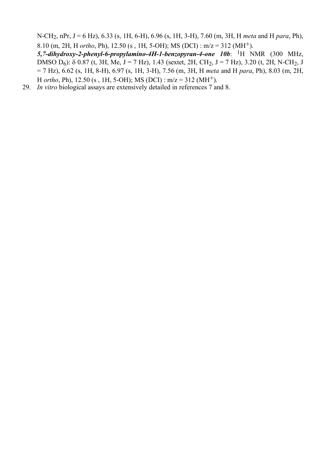N-CH2, nPr, J = 6 Hz), 6.33 (s, 1H, 6-H), 6.96 (s, 1H, 3-H), 7.60 (m, 3H, H *meta* and H *para*, Ph), 8.10 (m, 2H, H *ortho*, Ph), 12.50 (s , 1H, 5-OH); MS (DCI) : m/z = 312 (MH+).

*5,7-dihydroxy-2-phenyl-6-propylamino-4H-1-benzopyran-4-one 10b*: 1H NMR (300 MHz, DMSO  $D_6$ ):  $\delta$  0.87 (t, 3H, Me, J = 7 Hz), 1.43 (sextet, 2H, CH<sub>2</sub>, J = 7 Hz), 3.20 (t, 2H, N-CH<sub>2</sub>, J = 7 Hz), 6.62 (s, 1H, 8-H), 6.97 (s, 1H, 3-H), 7.56 (m, 3H, H *meta* and H *para*, Ph), 8.03 (m, 2H, H *ortho*, Ph), 12.50 (s , 1H, 5-OH); MS (DCI) : m/z = 312 (MH+).

29. *In vitro* biological assays are extensively detailed in references 7 and 8.